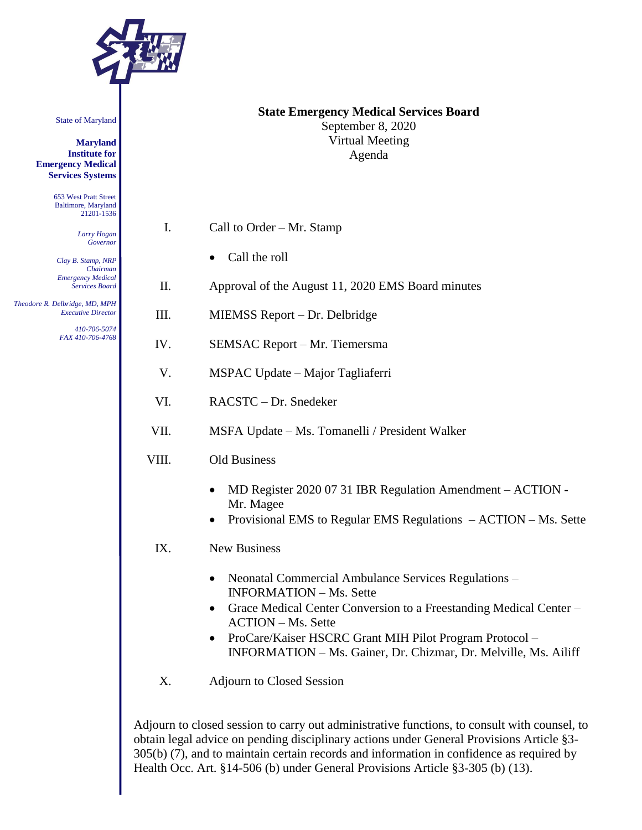

State of Maryland

**Maryland Institute for Emergency Medical Services Systems**

> 653 West Pratt Street Baltimore, Maryland 21201-1536

> > *Larry Hogan Governor*

*Clay B. Stamp, NRP Chairman Emergency Medical Services Board*

 *Theodore R. Delbridge, MD, MPH Executive Director 410-706-5074*

*FAX 410-706-4768*

| <b>State Emergency Medical Services Board</b> |
|-----------------------------------------------|
| September 8, 2020                             |
| Virtual Meeting                               |
| Agenda                                        |

- I. Call to Order Mr. Stamp
	- Call the roll
- II. Approval of the August 11, 2020 EMS Board minutes
- III. MIEMSS Report Dr. Delbridge
- IV. SEMSAC Report Mr. Tiemersma
- V. MSPAC Update Major Tagliaferri
- VI. RACSTC Dr. Snedeker
- VII. MSFA Update Ms. Tomanelli / President Walker
- VIII. Old Business
	- MD Register 2020 07 31 IBR Regulation Amendment ACTION -Mr. Magee
	- Provisional EMS to Regular EMS Regulations ACTION Ms. Sette
	- IX. New Business
		- Neonatal Commercial Ambulance Services Regulations INFORMATION – Ms. Sette
		- Grace Medical Center Conversion to a Freestanding Medical Center ACTION – Ms. Sette
		- ProCare/Kaiser HSCRC Grant MIH Pilot Program Protocol INFORMATION – Ms. Gainer, Dr. Chizmar, Dr. Melville, Ms. Ailiff
	- X. Adjourn to Closed Session

Adjourn to closed session to carry out administrative functions, to consult with counsel, to obtain legal advice on pending disciplinary actions under General Provisions Article §3- 305(b) (7), and to maintain certain records and information in confidence as required by Health Occ. Art. §14-506 (b) under General Provisions Article §3-305 (b) (13).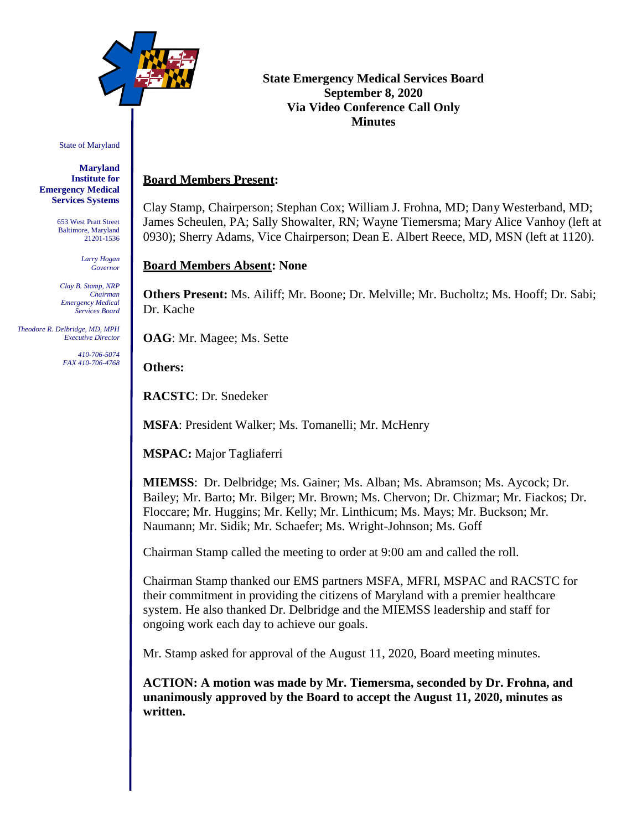

State of Maryland

**Maryland Institute for Emergency Medical Services Systems**

> 653 West Pratt Street Baltimore, Maryland 21201-1536

> > *Larry Hogan Governor*

*Clay B. Stamp, NRP Chairman Emergency Medical Services Board*

 *Theodore R. Delbridge, MD, MPH Executive Director*

> *410-706-5074 FAX 410-706-4768*

# **State Emergency Medical Services Board September 8, 2020 Via Video Conference Call Only Minutes**

# **Board Members Present:**

Clay Stamp, Chairperson; Stephan Cox; William J. Frohna, MD; Dany Westerband, MD; James Scheulen, PA; Sally Showalter, RN; Wayne Tiemersma; Mary Alice Vanhoy (left at 0930); Sherry Adams, Vice Chairperson; Dean E. Albert Reece, MD, MSN (left at 1120).

# **Board Members Absent: None**

**Others Present:** Ms. Ailiff; Mr. Boone; Dr. Melville; Mr. Bucholtz; Ms. Hooff; Dr. Sabi; Dr. Kache

**OAG**: Mr. Magee; Ms. Sette

**Others:**

**RACSTC**: Dr. Snedeker

**MSFA**: President Walker; Ms. Tomanelli; Mr. McHenry

**MSPAC:** Major Tagliaferri

**MIEMSS**: Dr. Delbridge; Ms. Gainer; Ms. Alban; Ms. Abramson; Ms. Aycock; Dr. Bailey; Mr. Barto; Mr. Bilger; Mr. Brown; Ms. Chervon; Dr. Chizmar; Mr. Fiackos; Dr. Floccare; Mr. Huggins; Mr. Kelly; Mr. Linthicum; Ms. Mays; Mr. Buckson; Mr. Naumann; Mr. Sidik; Mr. Schaefer; Ms. Wright-Johnson; Ms. Goff

Chairman Stamp called the meeting to order at 9:00 am and called the roll.

Chairman Stamp thanked our EMS partners MSFA, MFRI, MSPAC and RACSTC for their commitment in providing the citizens of Maryland with a premier healthcare system. He also thanked Dr. Delbridge and the MIEMSS leadership and staff for ongoing work each day to achieve our goals.

Mr. Stamp asked for approval of the August 11, 2020, Board meeting minutes.

**ACTION: A motion was made by Mr. Tiemersma, seconded by Dr. Frohna, and unanimously approved by the Board to accept the August 11, 2020, minutes as written.**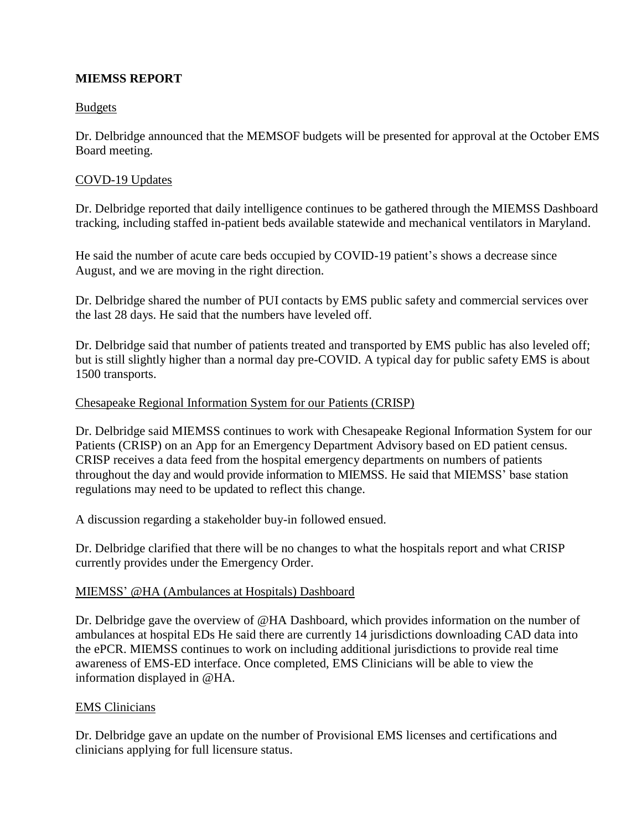# **MIEMSS REPORT**

## Budgets

Dr. Delbridge announced that the MEMSOF budgets will be presented for approval at the October EMS Board meeting.

## COVD-19 Updates

Dr. Delbridge reported that daily intelligence continues to be gathered through the MIEMSS Dashboard tracking, including staffed in-patient beds available statewide and mechanical ventilators in Maryland.

He said the number of acute care beds occupied by COVID-19 patient's shows a decrease since August, and we are moving in the right direction.

Dr. Delbridge shared the number of PUI contacts by EMS public safety and commercial services over the last 28 days. He said that the numbers have leveled off.

Dr. Delbridge said that number of patients treated and transported by EMS public has also leveled off; but is still slightly higher than a normal day pre-COVID. A typical day for public safety EMS is about 1500 transports.

#### Chesapeake Regional Information System for our Patients (CRISP)

Dr. Delbridge said MIEMSS continues to work with Chesapeake Regional Information System for our Patients (CRISP) on an App for an Emergency Department Advisory based on ED patient census. CRISP receives a data feed from the hospital emergency departments on numbers of patients throughout the day and would provide information to MIEMSS. He said that MIEMSS' base station regulations may need to be updated to reflect this change.

A discussion regarding a stakeholder buy-in followed ensued.

Dr. Delbridge clarified that there will be no changes to what the hospitals report and what CRISP currently provides under the Emergency Order.

#### MIEMSS' [@H](mailto:@HA)A [\(Ambulances at Hospitals\) Dashboard](mailto:@HA)

Dr. Delbridge gave the overview of [@HA](mailto:@HA) Dashboard, which [provides information on the number of](mailto:@HA)  ambulances at hospital EDs He said there are currently 14 jurisdictions downloading CAD data into the ePCR. MIEMSS continues to work on including additional jurisdictions to provide real time awareness of EMS-ED interface. Once completed, EMS Clinicians will be able to view the information displayed in @HA.

#### EMS Clinicians

Dr. Delbridge gave an update on the number of Provisional EMS licenses and certifications and clinicians applying for full licensure status.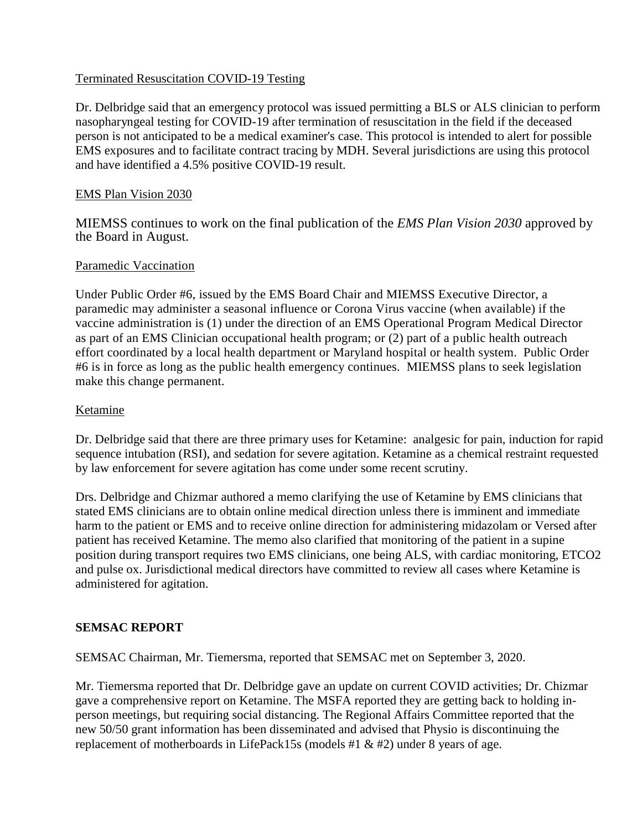## Terminated Resuscitation COVID-19 Testing

Dr. Delbridge said that an emergency protocol was issued permitting a BLS or ALS clinician to perform nasopharyngeal testing for COVID-19 after termination of resuscitation in the field if the deceased person is not anticipated to be a medical examiner's case. This protocol is intended to alert for possible EMS exposures and to facilitate contract tracing by MDH. Several jurisdictions are using this protocol and have identified a 4.5% positive COVID-19 result.

## EMS Plan Vision 2030

MIEMSS continues to work on the final publication of the *EMS Plan Vision 2030* approved by the Board in August.

## Paramedic Vaccination

Under Public Order #6, issued by the EMS Board Chair and MIEMSS Executive Director, a paramedic may administer a seasonal influence or Corona Virus vaccine (when available) if the vaccine administration is (1) under the direction of an EMS Operational Program Medical Director as part of an EMS Clinician occupational health program; or (2) part of a public health outreach effort coordinated by a local health department or Maryland hospital or health system. Public Order #6 is in force as long as the public health emergency continues. MIEMSS plans to seek legislation make this change permanent.

## Ketamine

Dr. Delbridge said that there are three primary uses for Ketamine: analgesic for pain, induction for rapid sequence intubation (RSI), and sedation for severe agitation. Ketamine as a chemical restraint requested by law enforcement for severe agitation has come under some recent scrutiny.

Drs. Delbridge and Chizmar authored a memo clarifying the use of Ketamine by EMS clinicians that stated EMS clinicians are to obtain online medical direction unless there is imminent and immediate harm to the patient or EMS and to receive online direction for administering midazolam or Versed after patient has received Ketamine. The memo also clarified that monitoring of the patient in a supine position during transport requires two EMS clinicians, one being ALS, with cardiac monitoring, ETCO2 and pulse ox. Jurisdictional medical directors have committed to review all cases where Ketamine is administered for agitation.

#### **SEMSAC REPORT**

SEMSAC Chairman, Mr. Tiemersma, reported that SEMSAC met on September 3, 2020.

Mr. Tiemersma reported that Dr. Delbridge gave an update on current COVID activities; Dr. Chizmar gave a comprehensive report on Ketamine. The MSFA reported they are getting back to holding inperson meetings, but requiring social distancing. The Regional Affairs Committee reported that the new 50/50 grant information has been disseminated and advised that Physio is discontinuing the replacement of motherboards in LifePack15s (models #1 & #2) under 8 years of age.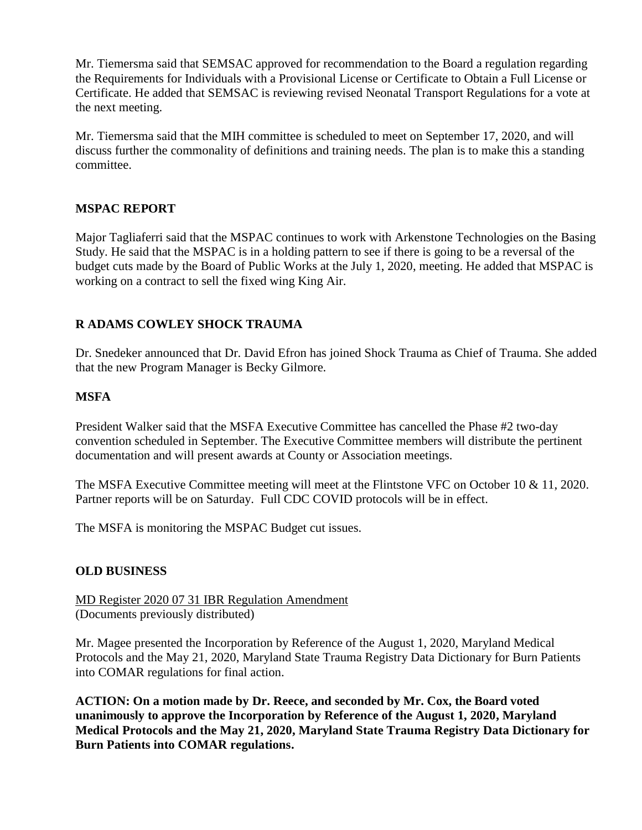Mr. Tiemersma said that SEMSAC approved for recommendation to the Board a regulation regarding the Requirements for Individuals with a Provisional License or Certificate to Obtain a Full License or Certificate. He added that SEMSAC is reviewing revised Neonatal Transport Regulations for a vote at the next meeting.

Mr. Tiemersma said that the MIH committee is scheduled to meet on September 17, 2020, and will discuss further the commonality of definitions and training needs. The plan is to make this a standing committee.

## **MSPAC REPORT**

Major Tagliaferri said that the MSPAC continues to work with Arkenstone Technologies on the Basing Study. He said that the MSPAC is in a holding pattern to see if there is going to be a reversal of the budget cuts made by the Board of Public Works at the July 1, 2020, meeting. He added that MSPAC is working on a contract to sell the fixed wing King Air.

# **R ADAMS COWLEY SHOCK TRAUMA**

Dr. Snedeker announced that Dr. David Efron has joined Shock Trauma as Chief of Trauma. She added that the new Program Manager is Becky Gilmore.

## **MSFA**

President Walker said that the MSFA Executive Committee has cancelled the Phase #2 two-day convention scheduled in September. The Executive Committee members will distribute the pertinent documentation and will present awards at County or Association meetings.

The MSFA Executive Committee meeting will meet at the Flintstone VFC on October 10 & 11, 2020. Partner reports will be on Saturday. Full CDC COVID protocols will be in effect.

The MSFA is monitoring the MSPAC Budget cut issues.

## **OLD BUSINESS**

MD Register 2020 07 31 IBR Regulation Amendment (Documents previously distributed)

Mr. Magee presented the Incorporation by Reference of the August 1, 2020, Maryland Medical Protocols and the May 21, 2020, Maryland State Trauma Registry Data Dictionary for Burn Patients into COMAR regulations for final action.

**ACTION: On a motion made by Dr. Reece, and seconded by Mr. Cox, the Board voted unanimously to approve the Incorporation by Reference of the August 1, 2020, Maryland Medical Protocols and the May 21, 2020, Maryland State Trauma Registry Data Dictionary for Burn Patients into COMAR regulations.**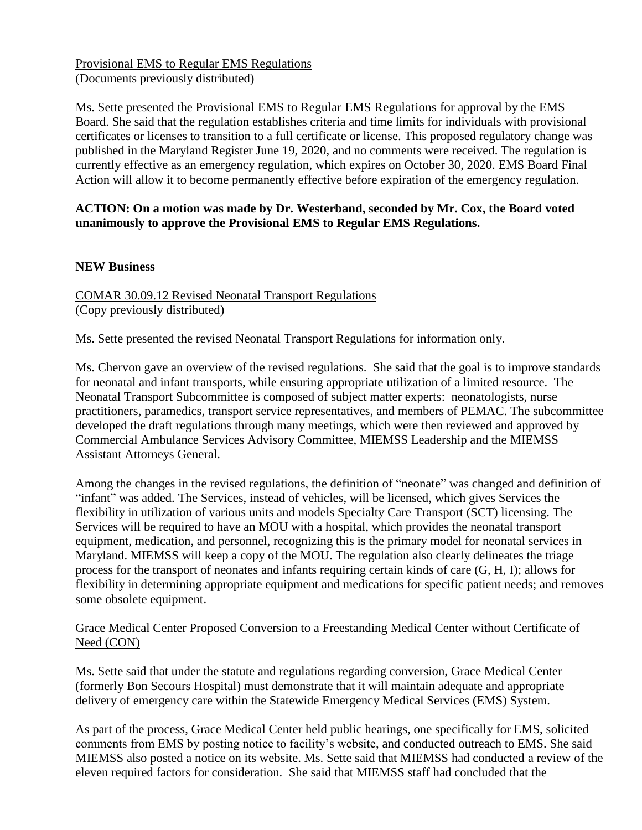Provisional EMS to Regular EMS Regulations (Documents previously distributed)

Ms. Sette presented the Provisional EMS to Regular EMS Regulations for approval by the EMS Board. She said that the regulation establishes criteria and time limits for individuals with provisional certificates or licenses to transition to a full certificate or license. This proposed regulatory change was published in the Maryland Register June 19, 2020, and no comments were received. The regulation is currently effective as an emergency regulation, which expires on October 30, 2020. EMS Board Final Action will allow it to become permanently effective before expiration of the emergency regulation.

## **ACTION: On a motion was made by Dr. Westerband, seconded by Mr. Cox, the Board voted unanimously to approve the Provisional EMS to Regular EMS Regulations.**

## **NEW Business**

COMAR 30.09.12 Revised Neonatal Transport Regulations (Copy previously distributed)

Ms. Sette presented the revised Neonatal Transport Regulations for information only.

Ms. Chervon gave an overview of the revised regulations. She said that the goal is to improve standards for neonatal and infant transports, while ensuring appropriate utilization of a limited resource. The Neonatal Transport Subcommittee is composed of subject matter experts: neonatologists, nurse practitioners, paramedics, transport service representatives, and members of PEMAC. The subcommittee developed the draft regulations through many meetings, which were then reviewed and approved by Commercial Ambulance Services Advisory Committee, MIEMSS Leadership and the MIEMSS Assistant Attorneys General.

Among the changes in the revised regulations, the definition of "neonate" was changed and definition of "infant" was added. The Services, instead of vehicles, will be licensed, which gives Services the flexibility in utilization of various units and models Specialty Care Transport (SCT) licensing. The Services will be required to have an MOU with a hospital, which provides the neonatal transport equipment, medication, and personnel, recognizing this is the primary model for neonatal services in Maryland. MIEMSS will keep a copy of the MOU. The regulation also clearly delineates the triage process for the transport of neonates and infants requiring certain kinds of care (G, H, I); allows for flexibility in determining appropriate equipment and medications for specific patient needs; and removes some obsolete equipment.

## Grace Medical Center Proposed Conversion to a Freestanding Medical Center without Certificate of Need (CON)

Ms. Sette said that under the statute and regulations regarding conversion, Grace Medical Center (formerly Bon Secours Hospital) must demonstrate that it will maintain adequate and appropriate delivery of emergency care within the Statewide Emergency Medical Services (EMS) System.

As part of the process, Grace Medical Center held public hearings, one specifically for EMS, solicited comments from EMS by posting notice to facility's website, and conducted outreach to EMS. She said MIEMSS also posted a notice on its website. Ms. Sette said that MIEMSS had conducted a review of the eleven required factors for consideration. She said that MIEMSS staff had concluded that the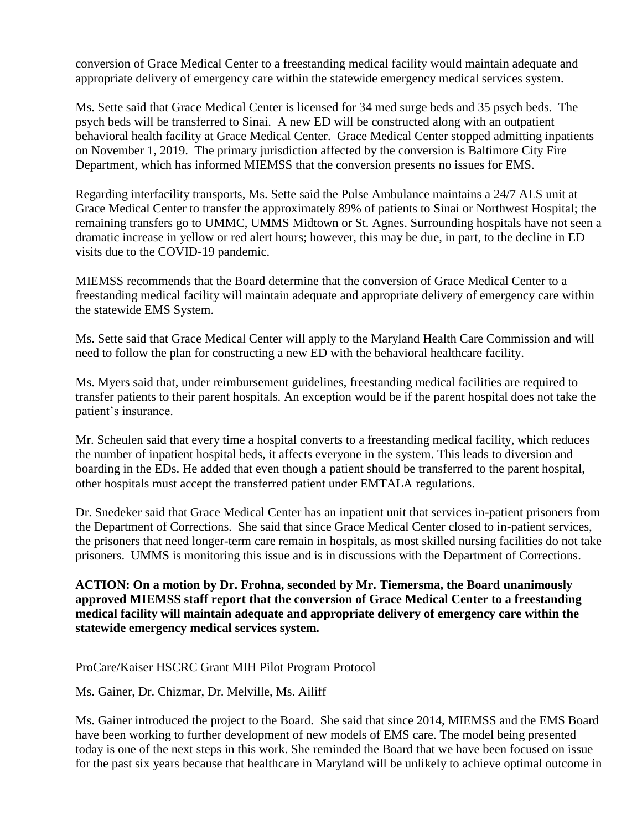conversion of Grace Medical Center to a freestanding medical facility would maintain adequate and appropriate delivery of emergency care within the statewide emergency medical services system.

Ms. Sette said that Grace Medical Center is licensed for 34 med surge beds and 35 psych beds. The psych beds will be transferred to Sinai. A new ED will be constructed along with an outpatient behavioral health facility at Grace Medical Center. Grace Medical Center stopped admitting inpatients on November 1, 2019. The primary jurisdiction affected by the conversion is Baltimore City Fire Department, which has informed MIEMSS that the conversion presents no issues for EMS.

Regarding interfacility transports, Ms. Sette said the Pulse Ambulance maintains a 24/7 ALS unit at Grace Medical Center to transfer the approximately 89% of patients to Sinai or Northwest Hospital; the remaining transfers go to UMMC, UMMS Midtown or St. Agnes. Surrounding hospitals have not seen a dramatic increase in yellow or red alert hours; however, this may be due, in part, to the decline in ED visits due to the COVID-19 pandemic.

MIEMSS recommends that the Board determine that the conversion of Grace Medical Center to a freestanding medical facility will maintain adequate and appropriate delivery of emergency care within the statewide EMS System.

Ms. Sette said that Grace Medical Center will apply to the Maryland Health Care Commission and will need to follow the plan for constructing a new ED with the behavioral healthcare facility.

Ms. Myers said that, under reimbursement guidelines, freestanding medical facilities are required to transfer patients to their parent hospitals. An exception would be if the parent hospital does not take the patient's insurance.

Mr. Scheulen said that every time a hospital converts to a freestanding medical facility, which reduces the number of inpatient hospital beds, it affects everyone in the system. This leads to diversion and boarding in the EDs. He added that even though a patient should be transferred to the parent hospital, other hospitals must accept the transferred patient under EMTALA regulations.

Dr. Snedeker said that Grace Medical Center has an inpatient unit that services in-patient prisoners from the Department of Corrections. She said that since Grace Medical Center closed to in-patient services, the prisoners that need longer-term care remain in hospitals, as most skilled nursing facilities do not take prisoners. UMMS is monitoring this issue and is in discussions with the Department of Corrections.

**ACTION: On a motion by Dr. Frohna, seconded by Mr. Tiemersma, the Board unanimously approved MIEMSS staff report that the conversion of Grace Medical Center to a freestanding medical facility will maintain adequate and appropriate delivery of emergency care within the statewide emergency medical services system.**

#### ProCare/Kaiser HSCRC Grant MIH Pilot Program Protocol

Ms. Gainer, Dr. Chizmar, Dr. Melville, Ms. Ailiff

Ms. Gainer introduced the project to the Board. She said that since 2014, MIEMSS and the EMS Board have been working to further development of new models of EMS care. The model being presented today is one of the next steps in this work. She reminded the Board that we have been focused on issue for the past six years because that healthcare in Maryland will be unlikely to achieve optimal outcome in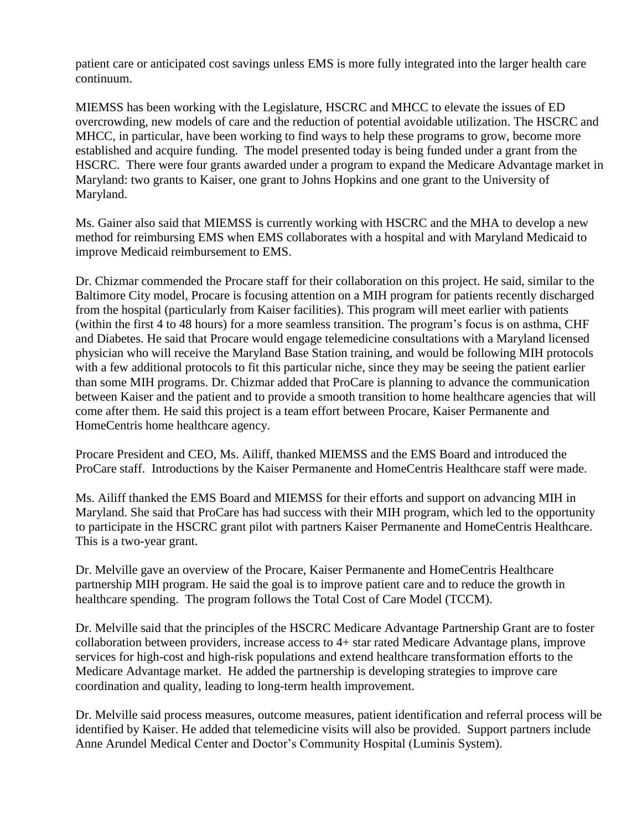patient care or anticipated cost savings unless EMS is more fully integrated into the larger health care continuum.

MIEMSS has been working with the Legislature, HSCRC and MHCC to elevate the issues of ED overcrowding, new models of care and the reduction of potential avoidable utilization. The HSCRC and MHCC, in particular, have been working to find ways to help these programs to grow, become more established and acquire funding. The model presented today is being funded under a grant from the HSCRC. There were four grants awarded under a program to expand the Medicare Advantage market in Maryland: two grants to Kaiser, one grant to Johns Hopkins and one grant to the University of Maryland.

Ms. Gainer also said that MIEMSS is currently working with HSCRC and the MHA to develop a new method for reimbursing EMS when EMS collaborates with a hospital and with Maryland Medicaid to improve Medicaid reimbursement to EMS.

Dr. Chizmar commended the Procare staff for their collaboration on this project. He said, similar to the Baltimore City model, Procare is focusing attention on a MIH program for patients recently discharged from the hospital (particularly from Kaiser facilities). This program will meet earlier with patients (within the first 4 to 48 hours) for a more seamless transition. The program's focus is on asthma, CHF and Diabetes. He said that Procare would engage telemedicine consultations with a Maryland licensed physician who will receive the Maryland Base Station training, and would be following MIH protocols with a few additional protocols to fit this particular niche, since they may be seeing the patient earlier than some MIH programs. Dr. Chizmar added that ProCare is planning to advance the communication between Kaiser and the patient and to provide a smooth transition to home healthcare agencies that will come after them. He said this project is a team effort between Procare, Kaiser Permanente and HomeCentris home healthcare agency.

Procare President and CEO, Ms. Ailiff, thanked MIEMSS and the EMS Board and introduced the ProCare staff. Introductions by the Kaiser Permanente and HomeCentris Healthcare staff were made.

Ms. Ailiff thanked the EMS Board and MIEMSS for their efforts and support on advancing MIH in Maryland. She said that ProCare has had success with their MIH program, which led to the opportunity to participate in the HSCRC grant pilot with partners Kaiser Permanente and HomeCentris Healthcare. This is a two-year grant.

Dr. Melville gave an overview of the Procare, Kaiser Permanente and HomeCentris Healthcare partnership MIH program. He said the goal is to improve patient care and to reduce the growth in healthcare spending. The program follows the Total Cost of Care Model (TCCM).

Dr. Melville said that the principles of the HSCRC Medicare Advantage Partnership Grant are to foster collaboration between providers, increase access to 4+ star rated Medicare Advantage plans, improve services for high-cost and high-risk populations and extend healthcare transformation efforts to the Medicare Advantage market. He added the partnership is developing strategies to improve care coordination and quality, leading to long-term health improvement.

Dr. Melville said process measures, outcome measures, patient identification and referral process will be identified by Kaiser. He added that telemedicine visits will also be provided. Support partners include Anne Arundel Medical Center and Doctor's Community Hospital (Luminis System).